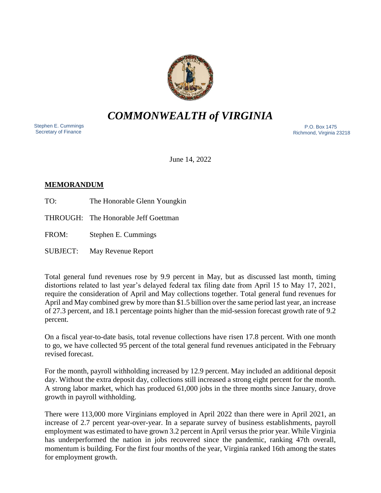

# *COMMONWEALTH of VIRGINIA*

 Stephen E. Cummings Secretary of Finance

 P.O. Box 1475 Richmond, Virginia 23218

June 14, 2022

## **MEMORANDUM**

TO: The Honorable Glenn Youngkin

THROUGH: The Honorable Jeff Goettman

FROM: Stephen E. Cummings

SUBJECT: May Revenue Report

Total general fund revenues rose by 9.9 percent in May, but as discussed last month, timing distortions related to last year's delayed federal tax filing date from April 15 to May 17, 2021, require the consideration of April and May collections together. Total general fund revenues for April and May combined grew by more than \$1.5 billion over the same period last year, an increase of 27.3 percent, and 18.1 percentage points higher than the mid-session forecast growth rate of 9.2 percent.

On a fiscal year-to-date basis, total revenue collections have risen 17.8 percent. With one month to go, we have collected 95 percent of the total general fund revenues anticipated in the February revised forecast.

For the month, payroll withholding increased by 12.9 percent. May included an additional deposit day. Without the extra deposit day, collections still increased a strong eight percent for the month. A strong labor market, which has produced 61,000 jobs in the three months since January, drove growth in payroll withholding.

There were 113,000 more Virginians employed in April 2022 than there were in April 2021, an increase of 2.7 percent year-over-year. In a separate survey of business establishments, payroll employment was estimated to have grown 3.2 percent in April versus the prior year. While Virginia has underperformed the nation in jobs recovered since the pandemic, ranking 47th overall, momentum is building. For the first four months of the year, Virginia ranked 16th among the states for employment growth.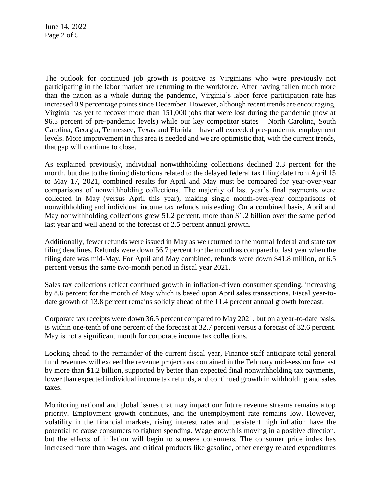June 14, 2022 Page 2 of 5

The outlook for continued job growth is positive as Virginians who were previously not participating in the labor market are returning to the workforce. After having fallen much more than the nation as a whole during the pandemic, Virginia's labor force participation rate has increased 0.9 percentage points since December. However, although recent trends are encouraging, Virginia has yet to recover more than 151,000 jobs that were lost during the pandemic (now at 96.5 percent of pre-pandemic levels) while our key competitor states – North Carolina, South Carolina, Georgia, Tennessee, Texas and Florida – have all exceeded pre-pandemic employment levels. More improvement in this area is needed and we are optimistic that, with the current trends, that gap will continue to close.

As explained previously, individual nonwithholding collections declined 2.3 percent for the month, but due to the timing distortions related to the delayed federal tax filing date from April 15 to May 17, 2021, combined results for April and May must be compared for year-over-year comparisons of nonwithholding collections. The majority of last year's final payments were collected in May (versus April this year), making single month-over-year comparisons of nonwithholding and individual income tax refunds misleading. On a combined basis, April and May nonwithholding collections grew 51.2 percent, more than \$1.2 billion over the same period last year and well ahead of the forecast of 2.5 percent annual growth.

Additionally, fewer refunds were issued in May as we returned to the normal federal and state tax filing deadlines. Refunds were down 56.7 percent for the month as compared to last year when the filing date was mid-May. For April and May combined, refunds were down \$41.8 million, or 6.5 percent versus the same two-month period in fiscal year 2021.

Sales tax collections reflect continued growth in inflation-driven consumer spending, increasing by 8.6 percent for the month of May which is based upon April sales transactions. Fiscal year-todate growth of 13.8 percent remains solidly ahead of the 11.4 percent annual growth forecast.

Corporate tax receipts were down 36.5 percent compared to May 2021, but on a year-to-date basis, is within one-tenth of one percent of the forecast at 32.7 percent versus a forecast of 32.6 percent. May is not a significant month for corporate income tax collections.

Looking ahead to the remainder of the current fiscal year, Finance staff anticipate total general fund revenues will exceed the revenue projections contained in the February mid-session forecast by more than \$1.2 billion, supported by better than expected final nonwithholding tax payments, lower than expected individual income tax refunds, and continued growth in withholding and sales taxes.

Monitoring national and global issues that may impact our future revenue streams remains a top priority. Employment growth continues, and the unemployment rate remains low. However, volatility in the financial markets, rising interest rates and persistent high inflation have the potential to cause consumers to tighten spending. Wage growth is moving in a positive direction, but the effects of inflation will begin to squeeze consumers. The consumer price index has increased more than wages, and critical products like gasoline, other energy related expenditures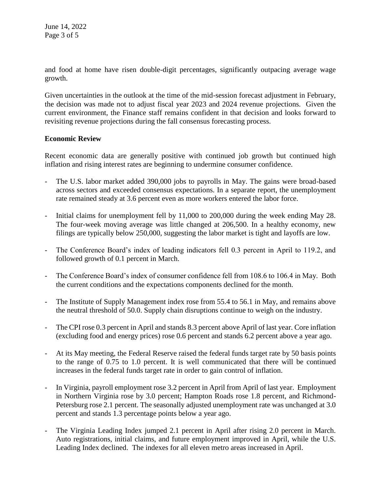June 14, 2022 Page 3 of 5

and food at home have risen double-digit percentages, significantly outpacing average wage growth.

Given uncertainties in the outlook at the time of the mid-session forecast adjustment in February, the decision was made not to adjust fiscal year 2023 and 2024 revenue projections. Given the current environment, the Finance staff remains confident in that decision and looks forward to revisiting revenue projections during the fall consensus forecasting process.

### **Economic Review**

Recent economic data are generally positive with continued job growth but continued high inflation and rising interest rates are beginning to undermine consumer confidence.

- The U.S. labor market added 390,000 jobs to payrolls in May. The gains were broad-based across sectors and exceeded consensus expectations. In a separate report, the unemployment rate remained steady at 3.6 percent even as more workers entered the labor force.
- Initial claims for unemployment fell by 11,000 to 200,000 during the week ending May 28. The four-week moving average was little changed at 206,500. In a healthy economy, new filings are typically below 250,000, suggesting the labor market is tight and layoffs are low.
- The Conference Board's index of leading indicators fell 0.3 percent in April to 119.2, and followed growth of 0.1 percent in March.
- The Conference Board's index of consumer confidence fell from 108.6 to 106.4 in May. Both the current conditions and the expectations components declined for the month.
- The Institute of Supply Management index rose from 55.4 to 56.1 in May, and remains above the neutral threshold of 50.0. Supply chain disruptions continue to weigh on the industry.
- The CPI rose 0.3 percent in April and stands 8.3 percent above April of last year. Core inflation (excluding food and energy prices) rose 0.6 percent and stands 6.2 percent above a year ago.
- At its May meeting, the Federal Reserve raised the federal funds target rate by 50 basis points to the range of 0.75 to 1.0 percent. It is well communicated that there will be continued increases in the federal funds target rate in order to gain control of inflation.
- In Virginia, payroll employment rose 3.2 percent in April from April of last year. Employment in Northern Virginia rose by 3.0 percent; Hampton Roads rose 1.8 percent, and Richmond-Petersburg rose 2.1 percent. The seasonally adjusted unemployment rate was unchanged at 3.0 percent and stands 1.3 percentage points below a year ago.
- The Virginia Leading Index jumped 2.1 percent in April after rising 2.0 percent in March. Auto registrations, initial claims, and future employment improved in April, while the U.S. Leading Index declined. The indexes for all eleven metro areas increased in April.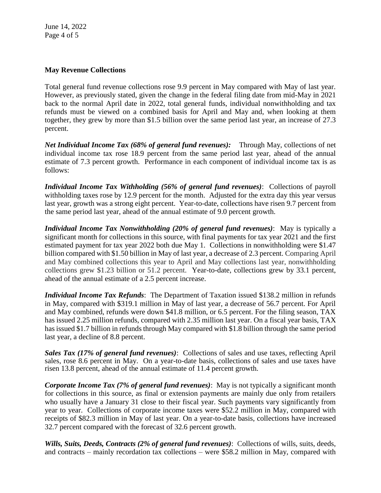June 14, 2022 Page 4 of 5

### **May Revenue Collections**

Total general fund revenue collections rose 9.9 percent in May compared with May of last year. However, as previously stated, given the change in the federal filing date from mid-May in 2021 back to the normal April date in 2022, total general funds, individual nonwithholding and tax refunds must be viewed on a combined basis for April and May and, when looking at them together, they grew by more than \$1.5 billion over the same period last year, an increase of 27.3 percent.

*Net Individual Income Tax (68% of general fund revenues):* Through May, collections of net individual income tax rose 18.9 percent from the same period last year, ahead of the annual estimate of 7.3 percent growth. Performance in each component of individual income tax is as follows:

*Individual Income Tax Withholding (56% of general fund revenues)*: Collections of payroll withholding taxes rose by 12.9 percent for the month. Adjusted for the extra day this year versus last year, growth was a strong eight percent. Year-to-date, collections have risen 9.7 percent from the same period last year, ahead of the annual estimate of 9.0 percent growth.

*Individual Income Tax Nonwithholding (20% of general fund revenues)*: May is typically a significant month for collections in this source, with final payments for tax year 2021 and the first estimated payment for tax year 2022 both due May 1. Collections in nonwithholding were \$1.47 billion compared with \$1.50 billion in May of last year, a decrease of 2.3 percent. Comparing April and May combined collections this year to April and May collections last year, nonwithholding collections grew \$1.23 billion or 51.2 percent. Year-to-date, collections grew by 33.1 percent, ahead of the annual estimate of a 2.5 percent increase.

*Individual Income Tax Refunds*: The Department of Taxation issued \$138.2 million in refunds in May, compared with \$319.1 million in May of last year, a decrease of 56.7 percent. For April and May combined, refunds were down \$41.8 million, or 6.5 percent. For the filing season, TAX has issued 2.25 million refunds, compared with 2.35 million last year. On a fiscal year basis, TAX has issued \$1.7 billion in refunds through May compared with \$1.8 billion through the same period last year, a decline of 8.8 percent.

*Sales Tax (17% of general fund revenues)*: Collections of sales and use taxes, reflecting April sales, rose 8.6 percent in May. On a year-to-date basis, collections of sales and use taxes have risen 13.8 percent, ahead of the annual estimate of 11.4 percent growth.

*Corporate Income Tax (7% of general fund revenues)*: May is not typically a significant month for collections in this source, as final or extension payments are mainly due only from retailers who usually have a January 31 close to their fiscal year. Such payments vary significantly from year to year. Collections of corporate income taxes were \$52.2 million in May, compared with receipts of \$82.3 million in May of last year. On a year-to-date basis, collections have increased 32.7 percent compared with the forecast of 32.6 percent growth.

*Wills, Suits, Deeds, Contracts (2% of general fund revenues)*: Collections of wills, suits, deeds, and contracts – mainly recordation tax collections – were \$58.2 million in May, compared with